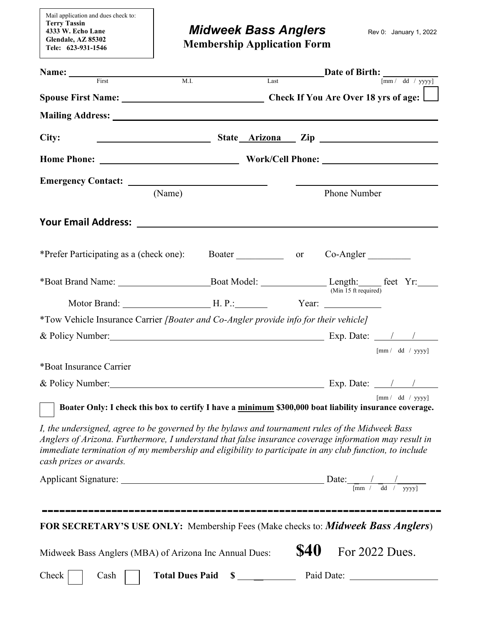Mail application and dues check to: **Terry Tassin 4333 W. Echo Lane Glendale, AZ 85302 Tele: 623-931-1546** 

## *Midweek Bass Anglers* Rev 0: January 1, 2022

 **Membership Application Form** 

| Name: First M.I.                                                                                                                                                                                                                                                                                                                             |  |             |                      | $\sqrt{mm / dd / yyyy}$ |
|----------------------------------------------------------------------------------------------------------------------------------------------------------------------------------------------------------------------------------------------------------------------------------------------------------------------------------------------|--|-------------|----------------------|-------------------------|
| M.I.                                                                                                                                                                                                                                                                                                                                         |  | Last        |                      |                         |
|                                                                                                                                                                                                                                                                                                                                              |  |             |                      |                         |
|                                                                                                                                                                                                                                                                                                                                              |  |             |                      |                         |
| City:<br><u> 1989 - Johann Barnett, fransk politiker (</u>                                                                                                                                                                                                                                                                                   |  |             |                      | State Arizona Zip       |
|                                                                                                                                                                                                                                                                                                                                              |  |             |                      |                         |
|                                                                                                                                                                                                                                                                                                                                              |  |             |                      |                         |
| (Name)                                                                                                                                                                                                                                                                                                                                       |  |             | Phone Number         |                         |
|                                                                                                                                                                                                                                                                                                                                              |  |             |                      |                         |
| *Prefer Participating as a (check one): Boater _____________ or Co-Angler _______                                                                                                                                                                                                                                                            |  |             |                      |                         |
|                                                                                                                                                                                                                                                                                                                                              |  |             | (Min 15 ft required) |                         |
|                                                                                                                                                                                                                                                                                                                                              |  |             |                      |                         |
| *Tow Vehicle Insurance Carrier [Boater and Co-Angler provide info for their vehicle]                                                                                                                                                                                                                                                         |  |             |                      |                         |
|                                                                                                                                                                                                                                                                                                                                              |  |             |                      |                         |
|                                                                                                                                                                                                                                                                                                                                              |  |             |                      | ${\rm [mm/}$ dd / yyyy] |
| *Boat Insurance Carrier                                                                                                                                                                                                                                                                                                                      |  |             |                      |                         |
|                                                                                                                                                                                                                                                                                                                                              |  |             |                      |                         |
| Boater Only: I check this box to certify I have a minimum \$300,000 boat liability insurance coverage.                                                                                                                                                                                                                                       |  |             |                      | ${\rm [mm/}$ dd / yyyy] |
| I, the undersigned, agree to be governed by the bylaws and tournament rules of the Midweek Bass<br>Anglers of Arizona. Furthermore, I understand that false insurance coverage information may result in<br>immediate termination of my membership and eligibility to participate in any club function, to include<br>cash prizes or awards. |  |             |                      |                         |
| Applicant Signature: Date: $\frac{1}{\sqrt{m} \cdot \frac{1}{\sqrt{m}} \cdot \frac{1}{\sqrt{m}} \cdot \frac{1}{\sqrt{m}} \cdot \frac{1}{\sqrt{m}}}}$                                                                                                                                                                                         |  |             |                      |                         |
| FOR SECRETARY'S USE ONLY: Membership Fees (Make checks to: <i>Midweek Bass Anglers</i> )                                                                                                                                                                                                                                                     |  |             |                      |                         |
| Midweek Bass Anglers (MBA) of Arizona Inc Annual Dues:                                                                                                                                                                                                                                                                                       |  | <b>\$40</b> |                      | For 2022 Dues.          |
|                                                                                                                                                                                                                                                                                                                                              |  |             |                      |                         |